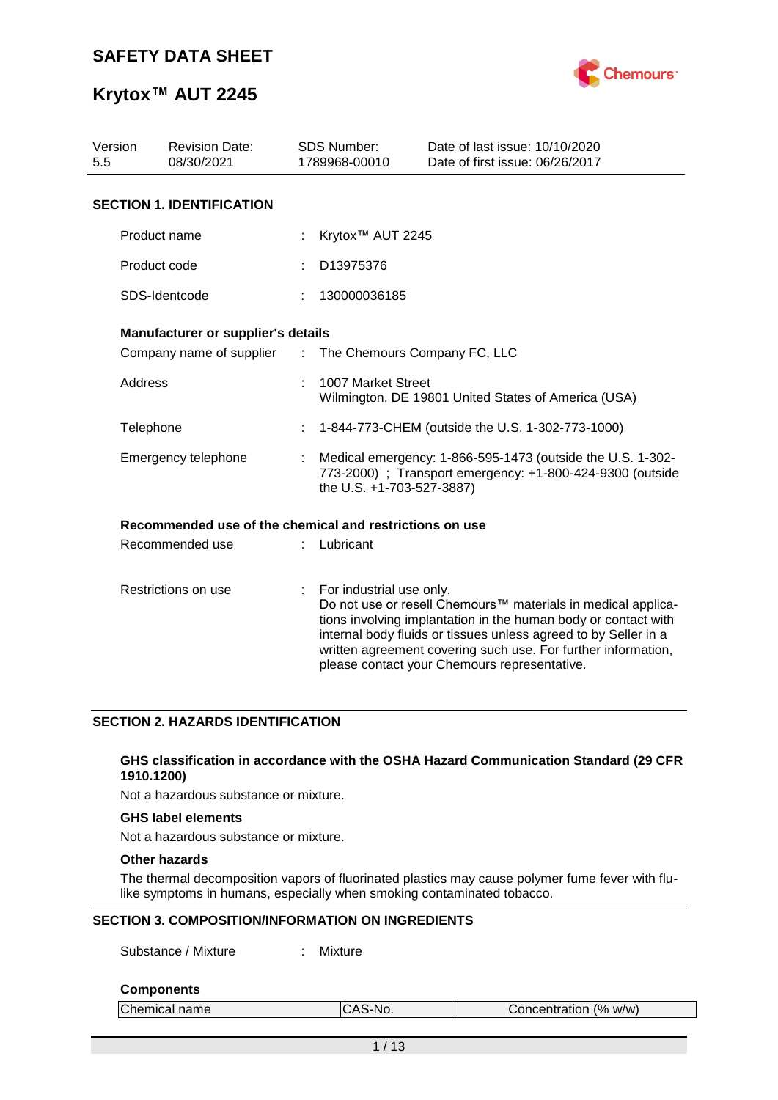

# **Krytox™ AUT 2245**

| Version<br>5.5      | <b>Revision Date:</b><br>08/30/2021                     |    | <b>SDS Number:</b><br>1789968-00010                                                                                                                  | Date of last issue: 10/10/2020<br>Date of first issue: 06/26/2017                                                                                                                                                                                                                                                  |  |  |  |
|---------------------|---------------------------------------------------------|----|------------------------------------------------------------------------------------------------------------------------------------------------------|--------------------------------------------------------------------------------------------------------------------------------------------------------------------------------------------------------------------------------------------------------------------------------------------------------------------|--|--|--|
|                     | <b>SECTION 1. IDENTIFICATION</b>                        |    |                                                                                                                                                      |                                                                                                                                                                                                                                                                                                                    |  |  |  |
|                     | Product name                                            |    | Krytox <sup>™</sup> AUT 2245                                                                                                                         |                                                                                                                                                                                                                                                                                                                    |  |  |  |
|                     | Product code                                            |    | D13975376                                                                                                                                            |                                                                                                                                                                                                                                                                                                                    |  |  |  |
|                     | SDS-Identcode                                           |    | 130000036185                                                                                                                                         |                                                                                                                                                                                                                                                                                                                    |  |  |  |
|                     | Manufacturer or supplier's details                      |    |                                                                                                                                                      |                                                                                                                                                                                                                                                                                                                    |  |  |  |
|                     | Company name of supplier                                | ÷. | The Chemours Company FC, LLC                                                                                                                         |                                                                                                                                                                                                                                                                                                                    |  |  |  |
|                     | <b>Address</b>                                          |    | 1007 Market Street<br>Wilmington, DE 19801 United States of America (USA)                                                                            |                                                                                                                                                                                                                                                                                                                    |  |  |  |
| Telephone           |                                                         |    |                                                                                                                                                      | 1-844-773-CHEM (outside the U.S. 1-302-773-1000)                                                                                                                                                                                                                                                                   |  |  |  |
|                     | Emergency telephone                                     |    | Medical emergency: 1-866-595-1473 (outside the U.S. 1-302-<br>773-2000) ; Transport emergency: +1-800-424-9300 (outside<br>the U.S. +1-703-527-3887) |                                                                                                                                                                                                                                                                                                                    |  |  |  |
|                     | Recommended use of the chemical and restrictions on use |    |                                                                                                                                                      |                                                                                                                                                                                                                                                                                                                    |  |  |  |
|                     | Recommended use                                         |    | Lubricant                                                                                                                                            |                                                                                                                                                                                                                                                                                                                    |  |  |  |
| Restrictions on use |                                                         |    | For industrial use only.                                                                                                                             | Do not use or resell Chemours™ materials in medical applica-<br>tions involving implantation in the human body or contact with<br>internal body fluids or tissues unless agreed to by Seller in a<br>written agreement covering such use. For further information,<br>please contact your Chemours representative. |  |  |  |

## **SECTION 2. HAZARDS IDENTIFICATION**

#### **GHS classification in accordance with the OSHA Hazard Communication Standard (29 CFR 1910.1200)**

Not a hazardous substance or mixture.

#### **GHS label elements**

Not a hazardous substance or mixture.

## **Other hazards**

The thermal decomposition vapors of fluorinated plastics may cause polymer fume fever with flulike symptoms in humans, especially when smoking contaminated tobacco.

## **SECTION 3. COMPOSITION/INFORMATION ON INGREDIENTS**

Substance / Mixture : Mixture

#### **Components**

| Chemical name | `S-No. | Concentration (% w/w) |  |
|---------------|--------|-----------------------|--|
|               |        |                       |  |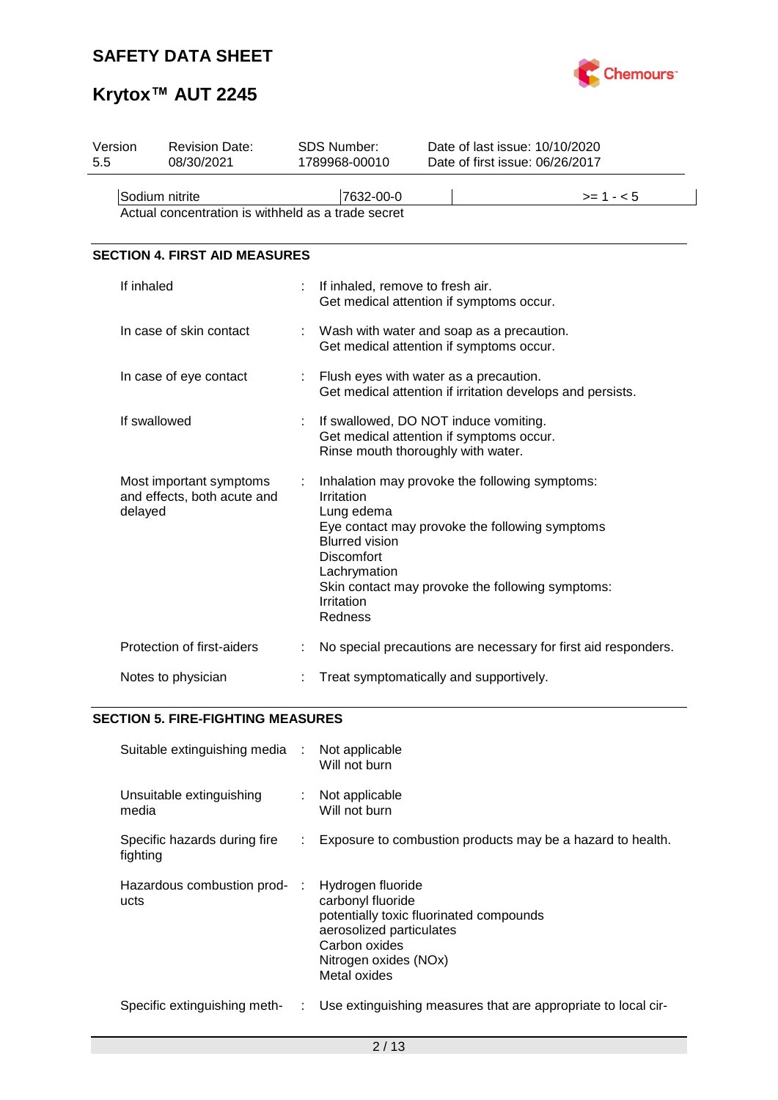

# **Krytox™ AUT 2245**

| Version<br>5.5                                                       | <b>Revision Date:</b><br>08/30/2021                    |   | <b>SDS Number:</b><br>1789968-00010                                                                                                                        | Date of last issue: 10/10/2020<br>Date of first issue: 06/26/2017                                  |
|----------------------------------------------------------------------|--------------------------------------------------------|---|------------------------------------------------------------------------------------------------------------------------------------------------------------|----------------------------------------------------------------------------------------------------|
| Sodium nitrite<br>Actual concentration is withheld as a trade secret |                                                        |   | 7632-00-0                                                                                                                                                  | $>= 1 - 5$                                                                                         |
|                                                                      | <b>SECTION 4. FIRST AID MEASURES</b>                   |   |                                                                                                                                                            |                                                                                                    |
|                                                                      | If inhaled                                             | t | If inhaled, remove to fresh air.<br>Get medical attention if symptoms occur.                                                                               |                                                                                                    |
|                                                                      | In case of skin contact                                |   | Wash with water and soap as a precaution.<br>Get medical attention if symptoms occur.                                                                      |                                                                                                    |
|                                                                      | In case of eye contact                                 |   | : Flush eyes with water as a precaution.                                                                                                                   | Get medical attention if irritation develops and persists.                                         |
|                                                                      | If swallowed                                           |   | If swallowed, DO NOT induce vomiting.<br>Get medical attention if symptoms occur.<br>Rinse mouth thoroughly with water.                                    |                                                                                                    |
| delayed                                                              | Most important symptoms<br>and effects, both acute and | ÷ | Inhalation may provoke the following symptoms:<br>Irritation<br>Lung edema<br><b>Blurred vision</b><br>Discomfort<br>Lachrymation<br>Irritation<br>Redness | Eye contact may provoke the following symptoms<br>Skin contact may provoke the following symptoms: |
|                                                                      | Protection of first-aiders                             |   |                                                                                                                                                            | No special precautions are necessary for first aid responders.                                     |
|                                                                      | Notes to physician                                     |   | Treat symptomatically and supportively.                                                                                                                    |                                                                                                    |

# **SECTION 5. FIRE-FIGHTING MEASURES**

| Suitable extinguishing media :           |    | Not applicable<br>Will not burn                                                                                                                                         |
|------------------------------------------|----|-------------------------------------------------------------------------------------------------------------------------------------------------------------------------|
| Unsuitable extinguishing<br>media        | ÷. | Not applicable<br>Will not burn                                                                                                                                         |
| Specific hazards during fire<br>fighting | ÷. | Exposure to combustion products may be a hazard to health.                                                                                                              |
| Hazardous combustion prod- :<br>ucts     |    | Hydrogen fluoride<br>carbonyl fluoride<br>potentially toxic fluorinated compounds<br>aerosolized particulates<br>Carbon oxides<br>Nitrogen oxides (NOx)<br>Metal oxides |
| Specific extinguishing meth-             | ÷. | Use extinguishing measures that are appropriate to local cir-                                                                                                           |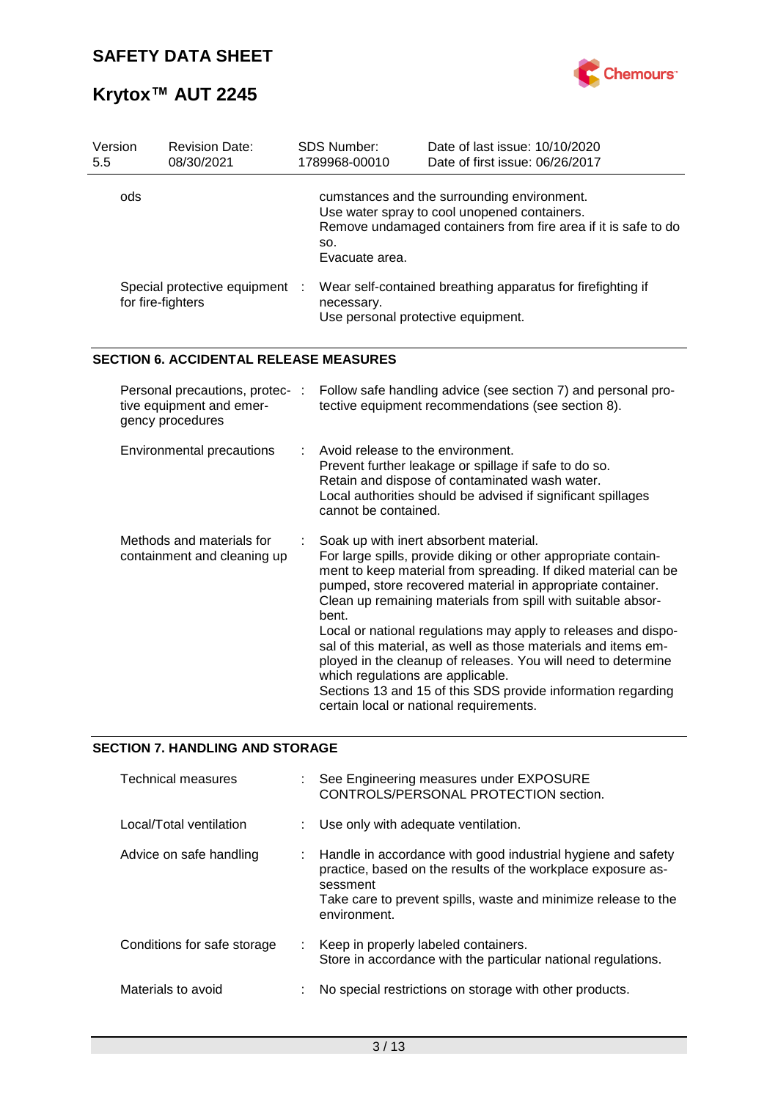

# **Krytox™ AUT 2245**

| Version<br>5.5                                    | <b>Revision Date:</b><br>08/30/2021                                             |   | <b>SDS Number:</b><br>1789968-00010                                                                             | Date of last issue: 10/10/2020<br>Date of first issue: 06/26/2017                                                                                                                                                                                                                                                                                                                                                                                                                                                                                                                                                        |  |  |  |
|---------------------------------------------------|---------------------------------------------------------------------------------|---|-----------------------------------------------------------------------------------------------------------------|--------------------------------------------------------------------------------------------------------------------------------------------------------------------------------------------------------------------------------------------------------------------------------------------------------------------------------------------------------------------------------------------------------------------------------------------------------------------------------------------------------------------------------------------------------------------------------------------------------------------------|--|--|--|
| ods                                               |                                                                                 |   | SO.<br>Evacuate area.                                                                                           | cumstances and the surrounding environment.<br>Use water spray to cool unopened containers.<br>Remove undamaged containers from fire area if it is safe to do                                                                                                                                                                                                                                                                                                                                                                                                                                                            |  |  |  |
| Special protective equipment<br>for fire-fighters |                                                                                 |   | Wear self-contained breathing apparatus for firefighting if<br>necessary.<br>Use personal protective equipment. |                                                                                                                                                                                                                                                                                                                                                                                                                                                                                                                                                                                                                          |  |  |  |
|                                                   | <b>SECTION 6. ACCIDENTAL RELEASE MEASURES</b>                                   |   |                                                                                                                 |                                                                                                                                                                                                                                                                                                                                                                                                                                                                                                                                                                                                                          |  |  |  |
|                                                   | Personal precautions, protec- :<br>tive equipment and emer-<br>gency procedures |   |                                                                                                                 | Follow safe handling advice (see section 7) and personal pro-<br>tective equipment recommendations (see section 8).                                                                                                                                                                                                                                                                                                                                                                                                                                                                                                      |  |  |  |
|                                                   | Environmental precautions                                                       | ÷ | Avoid release to the environment.<br>cannot be contained.                                                       | Prevent further leakage or spillage if safe to do so.<br>Retain and dispose of contaminated wash water.<br>Local authorities should be advised if significant spillages                                                                                                                                                                                                                                                                                                                                                                                                                                                  |  |  |  |
|                                                   | Methods and materials for<br>containment and cleaning up                        |   | bent.<br>which regulations are applicable.                                                                      | Soak up with inert absorbent material.<br>For large spills, provide diking or other appropriate contain-<br>ment to keep material from spreading. If diked material can be<br>pumped, store recovered material in appropriate container.<br>Clean up remaining materials from spill with suitable absor-<br>Local or national regulations may apply to releases and dispo-<br>sal of this material, as well as those materials and items em-<br>ployed in the cleanup of releases. You will need to determine<br>Sections 13 and 15 of this SDS provide information regarding<br>certain local or national requirements. |  |  |  |

# **SECTION 7. HANDLING AND STORAGE**

| Technical measures          | : See Engineering measures under EXPOSURE<br>CONTROLS/PERSONAL PROTECTION section.                                                                                                                                           |
|-----------------------------|------------------------------------------------------------------------------------------------------------------------------------------------------------------------------------------------------------------------------|
| Local/Total ventilation     | Use only with adequate ventilation.                                                                                                                                                                                          |
| Advice on safe handling     | : Handle in accordance with good industrial hygiene and safety<br>practice, based on the results of the workplace exposure as-<br>sessment<br>Take care to prevent spills, waste and minimize release to the<br>environment. |
| Conditions for safe storage | : Keep in properly labeled containers.<br>Store in accordance with the particular national regulations.                                                                                                                      |
| Materials to avoid          | No special restrictions on storage with other products.                                                                                                                                                                      |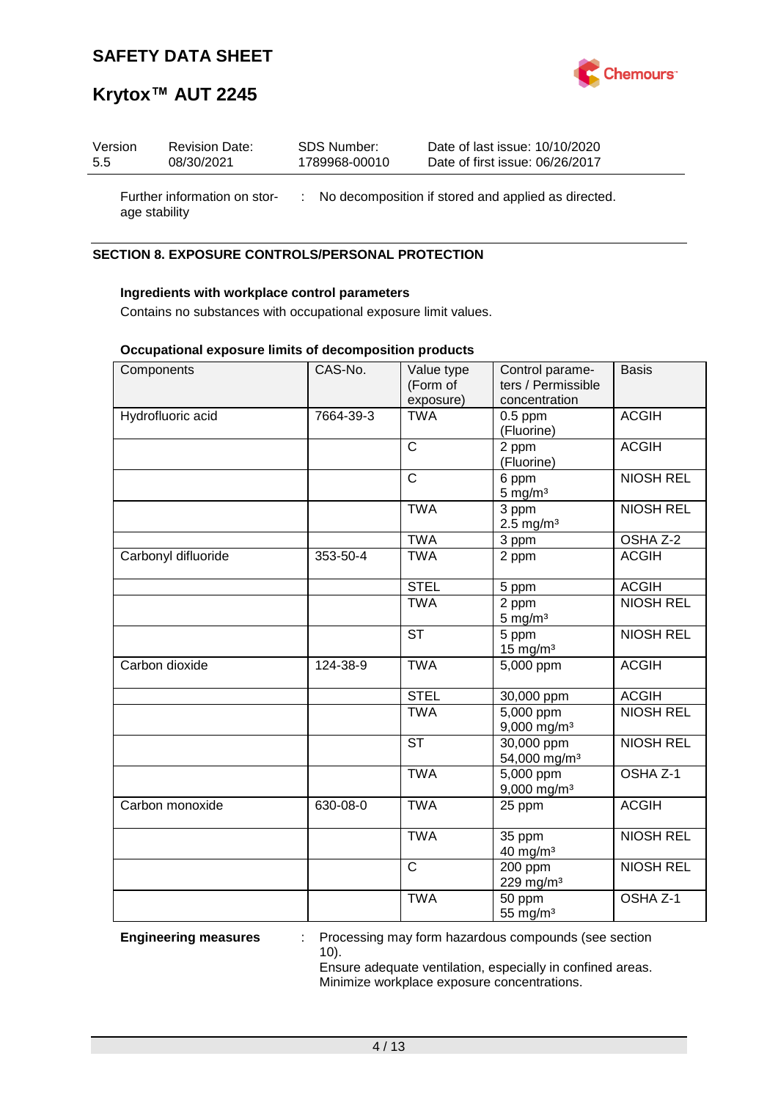

# **Krytox™ AUT 2245**

| Version       | <b>Revision Date:</b>        | SDS Number:   | Date of last issue: 10/10/2020                        |
|---------------|------------------------------|---------------|-------------------------------------------------------|
| 5.5           | 08/30/2021                   | 1789968-00010 | Date of first issue: 06/26/2017                       |
| age stability | Further information on stor- |               | : No decomposition if stored and applied as directed. |

# **SECTION 8. EXPOSURE CONTROLS/PERSONAL PROTECTION**

# **Ingredients with workplace control parameters**

Contains no substances with occupational exposure limit values.

### **Occupational exposure limits of decomposition products**

| Components          | CAS-No.   | Value type<br>(Form of<br>exposure) | Control parame-<br>ters / Permissible<br>concentration | <b>Basis</b>     |
|---------------------|-----------|-------------------------------------|--------------------------------------------------------|------------------|
| Hydrofluoric acid   | 7664-39-3 | <b>TWA</b>                          | $0.5$ ppm<br>(Fluorine)                                | <b>ACGIH</b>     |
|                     |           | $\mathsf{C}$                        | 2 ppm<br>(Fluorine)                                    | <b>ACGIH</b>     |
|                     |           | $\mathsf{C}$                        | 6 ppm<br>$5$ mg/m $3$                                  | <b>NIOSH REL</b> |
|                     |           | <b>TWA</b>                          | 3 ppm<br>$2.5 \text{ mg/m}^3$                          | <b>NIOSH REL</b> |
|                     |           | <b>TWA</b>                          | 3 ppm                                                  | OSHA Z-2         |
| Carbonyl difluoride | 353-50-4  | <b>TWA</b>                          | 2 ppm                                                  | <b>ACGIH</b>     |
|                     |           | <b>STEL</b>                         | 5 ppm                                                  | <b>ACGIH</b>     |
|                     |           | <b>TWA</b>                          | 2 ppm<br>$5 \text{ mg/m}^3$                            | <b>NIOSH REL</b> |
|                     |           | <b>ST</b>                           | 5 ppm<br>$15$ mg/m <sup>3</sup>                        | <b>NIOSH REL</b> |
| Carbon dioxide      | 124-38-9  | <b>TWA</b>                          | 5,000 ppm                                              | <b>ACGIH</b>     |
|                     |           | <b>STEL</b>                         | 30,000 ppm                                             | <b>ACGIH</b>     |
|                     |           | <b>TWA</b>                          | $5,000$ ppm<br>$9,000$ mg/m <sup>3</sup>               | <b>NIOSH REL</b> |
|                     |           | <b>ST</b>                           | 30,000 ppm<br>54,000 mg/m <sup>3</sup>                 | <b>NIOSH REL</b> |
|                     |           | <b>TWA</b>                          | 5,000 ppm<br>$9,000$ mg/m <sup>3</sup>                 | OSHA Z-1         |
| Carbon monoxide     | 630-08-0  | <b>TWA</b>                          | 25 ppm                                                 | <b>ACGIH</b>     |
|                     |           | <b>TWA</b>                          | 35 ppm<br>40 mg/m <sup>3</sup>                         | <b>NIOSH REL</b> |
|                     |           | $\mathsf{C}$                        | 200 ppm<br>229 mg/m <sup>3</sup>                       | <b>NIOSH REL</b> |
|                     |           | <b>TWA</b>                          | 50 ppm<br>55 mg/m <sup>3</sup>                         | OSHA Z-1         |

**Engineering measures** : Processing may form hazardous compounds (see section 10).

> Ensure adequate ventilation, especially in confined areas. Minimize workplace exposure concentrations.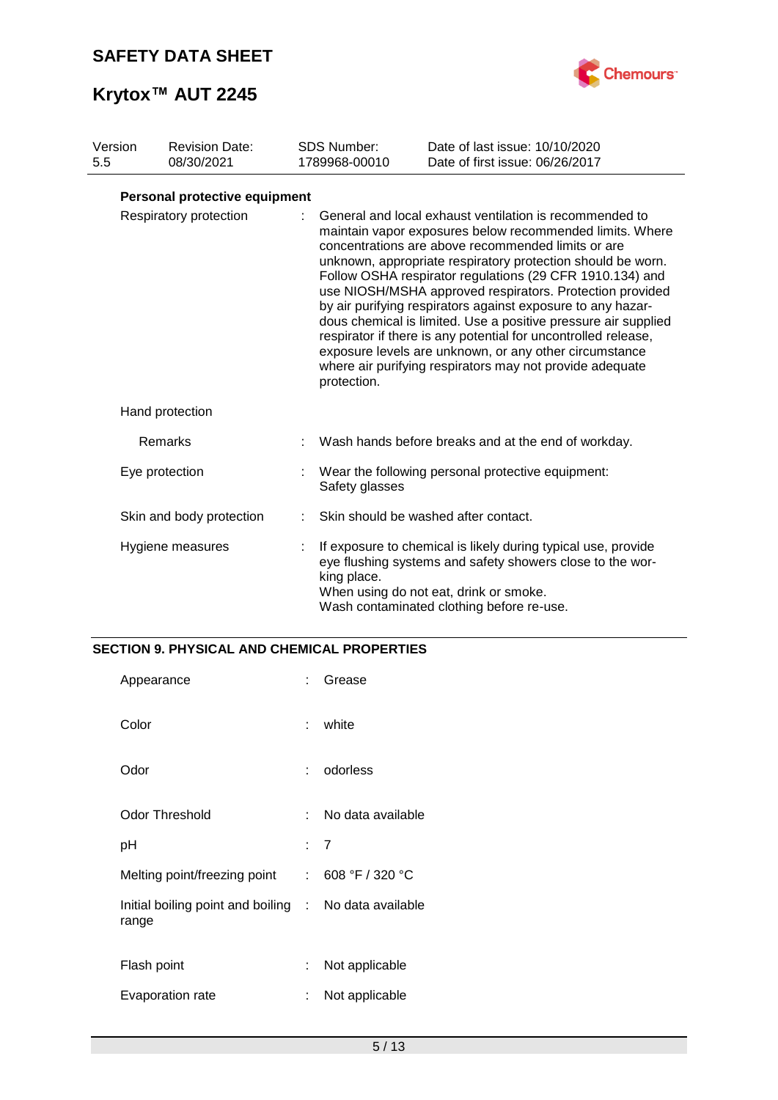

# **Krytox™ AUT 2245**

| Version<br>5.5 | <b>Revision Date:</b><br>08/30/2021 | <b>SDS Number:</b><br>1789968-00010 | Date of last issue: 10/10/2020<br>Date of first issue: 06/26/2017                                                                                                                                                                                                                                                                                                                                                                                                                                                                                                                                                                                                                         |
|----------------|-------------------------------------|-------------------------------------|-------------------------------------------------------------------------------------------------------------------------------------------------------------------------------------------------------------------------------------------------------------------------------------------------------------------------------------------------------------------------------------------------------------------------------------------------------------------------------------------------------------------------------------------------------------------------------------------------------------------------------------------------------------------------------------------|
|                | Personal protective equipment       |                                     |                                                                                                                                                                                                                                                                                                                                                                                                                                                                                                                                                                                                                                                                                           |
|                | Respiratory protection              | protection.                         | General and local exhaust ventilation is recommended to<br>maintain vapor exposures below recommended limits. Where<br>concentrations are above recommended limits or are<br>unknown, appropriate respiratory protection should be worn.<br>Follow OSHA respirator regulations (29 CFR 1910.134) and<br>use NIOSH/MSHA approved respirators. Protection provided<br>by air purifying respirators against exposure to any hazar-<br>dous chemical is limited. Use a positive pressure air supplied<br>respirator if there is any potential for uncontrolled release,<br>exposure levels are unknown, or any other circumstance<br>where air purifying respirators may not provide adequate |
|                | Hand protection                     |                                     |                                                                                                                                                                                                                                                                                                                                                                                                                                                                                                                                                                                                                                                                                           |
|                | Remarks                             |                                     | Wash hands before breaks and at the end of workday.                                                                                                                                                                                                                                                                                                                                                                                                                                                                                                                                                                                                                                       |
|                | Eye protection                      | Safety glasses                      | Wear the following personal protective equipment:                                                                                                                                                                                                                                                                                                                                                                                                                                                                                                                                                                                                                                         |
|                | Skin and body protection            |                                     | Skin should be washed after contact.                                                                                                                                                                                                                                                                                                                                                                                                                                                                                                                                                                                                                                                      |
|                | Hygiene measures                    | king place.                         | If exposure to chemical is likely during typical use, provide<br>eye flushing systems and safety showers close to the wor-<br>When using do not eat, drink or smoke.<br>Wash contaminated clothing before re-use.                                                                                                                                                                                                                                                                                                                                                                                                                                                                         |

# **SECTION 9. PHYSICAL AND CHEMICAL PROPERTIES**

| Appearance                                                     | t.  | Grease            |
|----------------------------------------------------------------|-----|-------------------|
| Color                                                          | t.  | white             |
| Odor                                                           |     | odorless          |
| <b>Odor Threshold</b>                                          | × 1 | No data available |
| рH                                                             |     | : 7               |
| Melting point/freezing point                                   |     | : 608 °F / 320 °C |
| Initial boiling point and boiling : No data available<br>range |     |                   |
| Flash point                                                    | t.  | Not applicable    |
| Evaporation rate                                               | t.  | Not applicable    |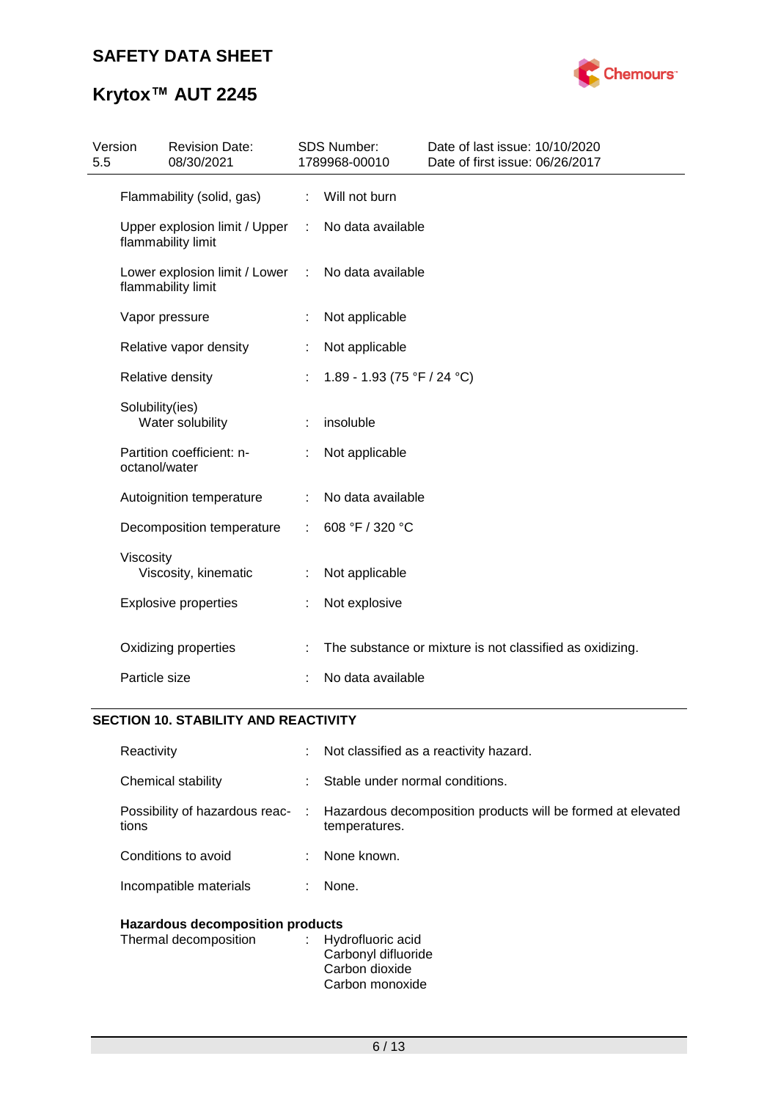

# **Krytox™ AUT 2245**

| 5.5 | Version<br><b>Revision Date:</b><br>08/30/2021      |                             | SDS Number:<br>1789968-00010 | Date of last issue: 10/10/2020<br>Date of first issue: 06/26/2017 |
|-----|-----------------------------------------------------|-----------------------------|------------------------------|-------------------------------------------------------------------|
|     | Flammability (solid, gas)                           | $\mathcal{L}^{\mathcal{L}}$ | Will not burn                |                                                                   |
|     | Upper explosion limit / Upper<br>flammability limit | $\mathbb{C}^{\times}$       | No data available            |                                                                   |
|     | Lower explosion limit / Lower<br>flammability limit | $\ddot{\phantom{a}}$        | No data available            |                                                                   |
|     | Vapor pressure                                      |                             | Not applicable               |                                                                   |
|     | Relative vapor density                              |                             | Not applicable               |                                                                   |
|     | Relative density                                    |                             | 1.89 - 1.93 (75 °F / 24 °C)  |                                                                   |
|     | Solubility(ies)<br>Water solubility                 |                             | insoluble                    |                                                                   |
|     | Partition coefficient: n-<br>octanol/water          |                             | Not applicable               |                                                                   |
|     | Autoignition temperature                            | ÷                           | No data available            |                                                                   |
|     | Decomposition temperature                           | ÷                           | 608 °F / 320 °C              |                                                                   |
|     | Viscosity<br>Viscosity, kinematic                   |                             | Not applicable               |                                                                   |
|     | <b>Explosive properties</b>                         |                             | Not explosive                |                                                                   |
|     | Oxidizing properties                                |                             |                              | The substance or mixture is not classified as oxidizing.          |
|     | Particle size                                       |                             | No data available            |                                                                   |

# **SECTION 10. STABILITY AND REACTIVITY**

| Hazardous decomposition products        |    |                                                                                |  |
|-----------------------------------------|----|--------------------------------------------------------------------------------|--|
| Incompatible materials                  | ÷. | None.                                                                          |  |
| Conditions to avoid                     |    | None known.                                                                    |  |
| Possibility of hazardous reac-<br>tions |    | : Hazardous decomposition products will be formed at elevated<br>temperatures. |  |
| Chemical stability                      |    | Stable under normal conditions.                                                |  |
| Reactivity                              | t. | Not classified as a reactivity hazard.                                         |  |

| . |                     |
|---|---------------------|
|   | : Hydrofluoric acid |
|   | Carbonyl difluoride |
|   | Carbon dioxide      |
|   | Carbon monoxide     |
|   |                     |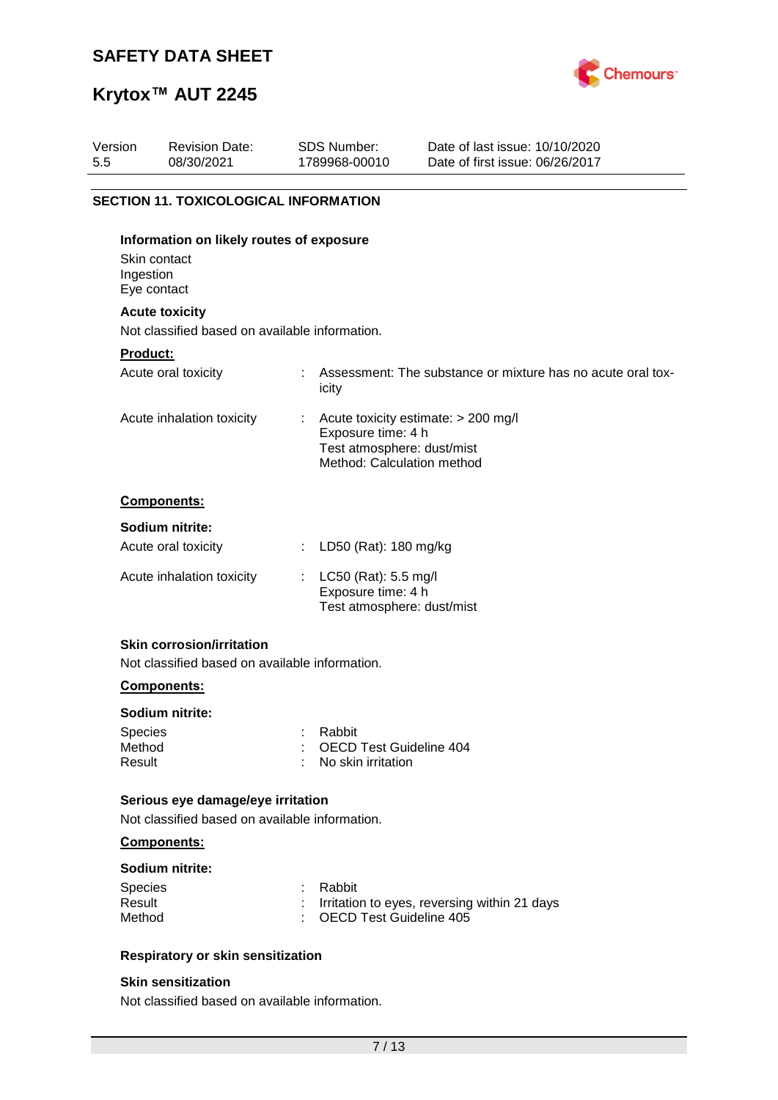

# **Krytox™ AUT 2245**

| Version<br>5.5 | <b>Revision Date:</b><br>08/30/2021                                     | <b>SDS Number:</b><br>1789968-00010                                            | Date of last issue: 10/10/2020<br>Date of first issue: 06/26/2017 |
|----------------|-------------------------------------------------------------------------|--------------------------------------------------------------------------------|-------------------------------------------------------------------|
|                |                                                                         |                                                                                |                                                                   |
|                | <b>SECTION 11. TOXICOLOGICAL INFORMATION</b>                            |                                                                                |                                                                   |
| Ingestion      | Information on likely routes of exposure<br>Skin contact<br>Eye contact |                                                                                |                                                                   |
|                | <b>Acute toxicity</b>                                                   |                                                                                |                                                                   |
|                | Not classified based on available information.                          |                                                                                |                                                                   |
| Product:       |                                                                         |                                                                                |                                                                   |
|                | Acute oral toxicity                                                     | icity                                                                          | Assessment: The substance or mixture has no acute oral tox-       |
|                | Acute inhalation toxicity                                               | Exposure time: 4 h<br>Test atmosphere: dust/mist<br>Method: Calculation method | Acute toxicity estimate: > 200 mg/l                               |
|                | Components:                                                             |                                                                                |                                                                   |
|                | Sodium nitrite:                                                         |                                                                                |                                                                   |
|                | Acute oral toxicity                                                     | LD50 (Rat): 180 mg/kg                                                          |                                                                   |
|                | Acute inhalation toxicity                                               | LC50 (Rat): 5.5 mg/l<br>Exposure time: 4 h<br>Test atmosphere: dust/mist       |                                                                   |
|                | <b>Skin corrosion/irritation</b>                                        |                                                                                |                                                                   |
|                | Not classified based on available information.                          |                                                                                |                                                                   |
|                |                                                                         |                                                                                |                                                                   |

## **Components:**

# **Sodium nitrite:**

| Species | : Rabbit                        |
|---------|---------------------------------|
| Method  | : OECD Test Guideline 404       |
| Result  | $\therefore$ No skin irritation |

### **Serious eye damage/eye irritation**

Not classified based on available information.

# **Components:**

#### **Sodium nitrite:**

| <b>Species</b> | : Rabbit                                       |
|----------------|------------------------------------------------|
| Result         | : Irritation to eyes, reversing within 21 days |
| Method         | : OECD Test Guideline 405                      |

# **Respiratory or skin sensitization**

## **Skin sensitization**

Not classified based on available information.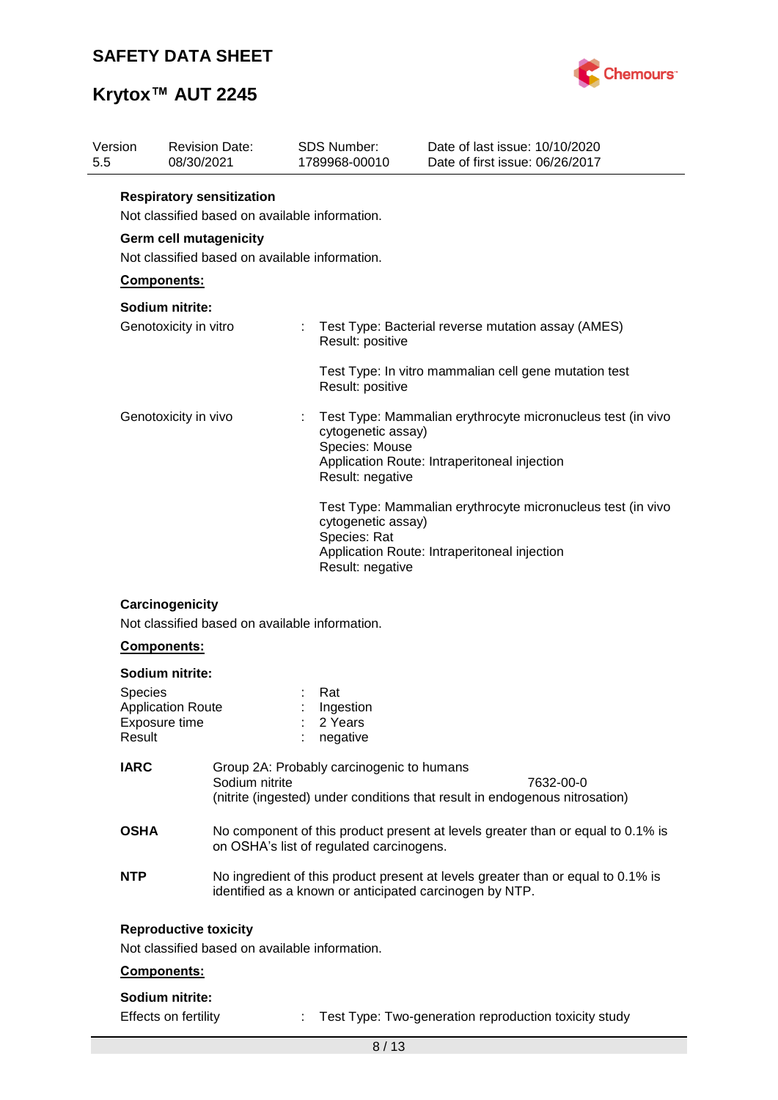

# **Krytox™ AUT 2245**

| Version<br>5.5    | <b>Revision Date:</b><br>08/30/2021                                                |  | <b>SDS Number:</b><br>1789968-00010                      | Date of last issue: 10/10/2020<br>Date of first issue: 06/26/2017                                                                           |  |  |  |  |  |
|-------------------|------------------------------------------------------------------------------------|--|----------------------------------------------------------|---------------------------------------------------------------------------------------------------------------------------------------------|--|--|--|--|--|
|                   | <b>Respiratory sensitization</b><br>Not classified based on available information. |  |                                                          |                                                                                                                                             |  |  |  |  |  |
|                   | <b>Germ cell mutagenicity</b><br>Not classified based on available information.    |  |                                                          |                                                                                                                                             |  |  |  |  |  |
|                   | Components:                                                                        |  |                                                          |                                                                                                                                             |  |  |  |  |  |
|                   | Sodium nitrite:<br>Genotoxicity in vitro                                           |  | Result: positive                                         | Test Type: Bacterial reverse mutation assay (AMES)                                                                                          |  |  |  |  |  |
|                   |                                                                                    |  | Result: positive                                         | Test Type: In vitro mammalian cell gene mutation test                                                                                       |  |  |  |  |  |
|                   | Genotoxicity in vivo                                                               |  | cytogenetic assay)<br>Species: Mouse<br>Result: negative | Test Type: Mammalian erythrocyte micronucleus test (in vivo<br>Application Route: Intraperitoneal injection                                 |  |  |  |  |  |
|                   |                                                                                    |  | cytogenetic assay)<br>Species: Rat<br>Result: negative   | Test Type: Mammalian erythrocyte micronucleus test (in vivo<br>Application Route: Intraperitoneal injection                                 |  |  |  |  |  |
|                   | Carcinogenicity<br>Not classified based on available information.<br>Components:   |  |                                                          |                                                                                                                                             |  |  |  |  |  |
|                   | Sodium nitrite:                                                                    |  |                                                          |                                                                                                                                             |  |  |  |  |  |
| Species<br>Result | <b>Application Route</b><br>Exposure time                                          |  | Rat<br>Ingestion<br>2 Years<br>negative                  |                                                                                                                                             |  |  |  |  |  |
| <b>IARC</b>       | Sodium nitrite                                                                     |  | Group 2A: Probably carcinogenic to humans                | 7632-00-0<br>(nitrite (ingested) under conditions that result in endogenous nitrosation)                                                    |  |  |  |  |  |
| <b>OSHA</b>       |                                                                                    |  | on OSHA's list of regulated carcinogens.                 | No component of this product present at levels greater than or equal to 0.1% is                                                             |  |  |  |  |  |
| <b>NTP</b>        |                                                                                    |  |                                                          | No ingredient of this product present at levels greater than or equal to 0.1% is<br>identified as a known or anticipated carcinogen by NTP. |  |  |  |  |  |
|                   | <b>Reproductive toxicity</b><br>Not classified based on available information.     |  |                                                          |                                                                                                                                             |  |  |  |  |  |
|                   | Components:                                                                        |  |                                                          |                                                                                                                                             |  |  |  |  |  |
|                   | Sodium nitrite:<br>Effects on fertility                                            |  |                                                          | Test Type: Two-generation reproduction toxicity study                                                                                       |  |  |  |  |  |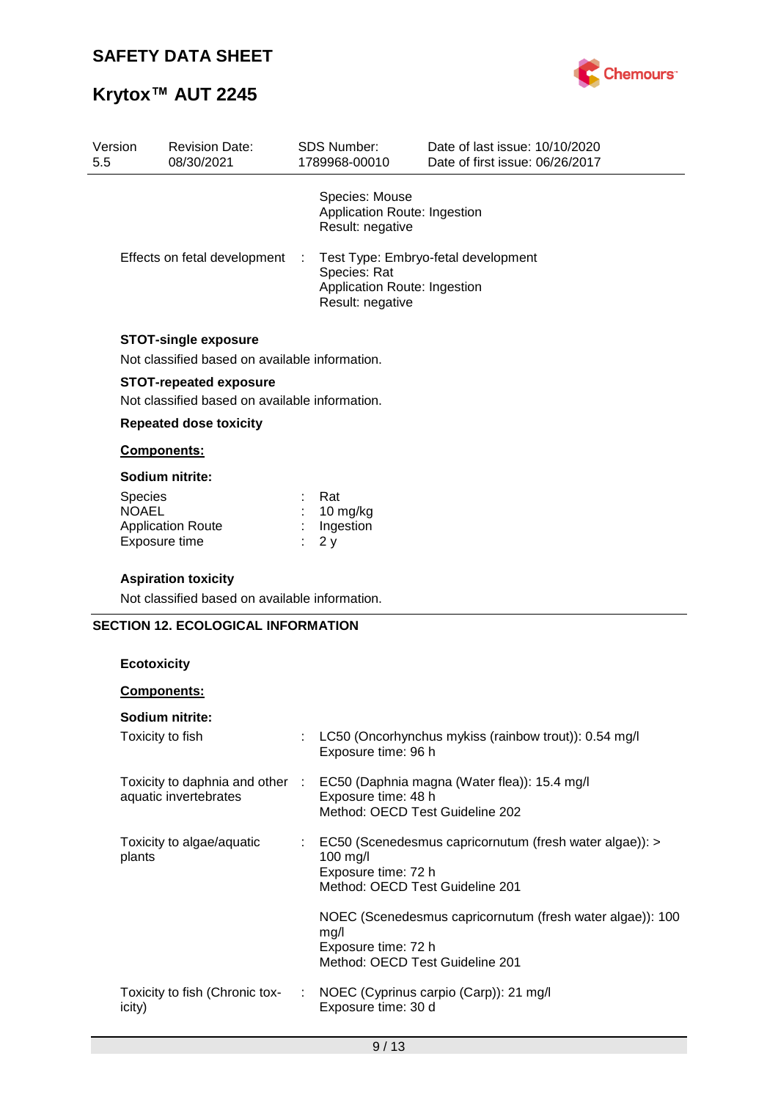# **Krytox™ AUT 2245**



| Version<br>5.5 |                              | <b>Revision Date:</b><br>08/30/2021            |  | <b>SDS Number:</b><br>1789968-00010                                | Date of last issue: 10/10/2020<br>Date of first issue: 06/26/2017 |
|----------------|------------------------------|------------------------------------------------|--|--------------------------------------------------------------------|-------------------------------------------------------------------|
|                |                              |                                                |  | Species: Mouse<br>Application Route: Ingestion<br>Result: negative |                                                                   |
|                | Effects on fetal development |                                                |  | Species: Rat<br>Application Route: Ingestion<br>Result: negative   | Test Type: Embryo-fetal development                               |
|                |                              | <b>STOT-single exposure</b>                    |  |                                                                    |                                                                   |
|                |                              | Not classified based on available information. |  |                                                                    |                                                                   |
|                |                              | <b>STOT-repeated exposure</b>                  |  |                                                                    |                                                                   |
|                |                              | Not classified based on available information. |  |                                                                    |                                                                   |
|                |                              | <b>Repeated dose toxicity</b>                  |  |                                                                    |                                                                   |
|                |                              | Components:                                    |  |                                                                    |                                                                   |
|                |                              | Sodium nitrite:                                |  |                                                                    |                                                                   |
|                | Species                      |                                                |  | Rat                                                                |                                                                   |
|                | <b>NOAEL</b>                 | <b>Application Route</b>                       |  | 10 mg/kg<br>Ingestion                                              |                                                                   |
|                |                              | Exposure time                                  |  | 2y                                                                 |                                                                   |
|                |                              | <b>Aspiration toxicity</b>                     |  |                                                                    |                                                                   |
|                |                              | Not classified based on available information. |  |                                                                    |                                                                   |
|                |                              | <b>SECTION 12. ECOLOGICAL INFORMATION</b>      |  |                                                                    |                                                                   |
|                |                              |                                                |  |                                                                    |                                                                   |
|                | <b>Ecotoxicity</b>           |                                                |  |                                                                    |                                                                   |
|                |                              | <b>Components:</b>                             |  |                                                                    |                                                                   |
|                |                              | Sodium nitrite:                                |  |                                                                    |                                                                   |
|                |                              | Toxicity to fish                               |  |                                                                    | LC50 (Oncorhynchus mykiss (rainbow trout)): 0.54 mg/l             |
|                |                              |                                                |  | Exposure time: 96 h                                                |                                                                   |
|                |                              | Toxicity to daphnia and other :                |  |                                                                    | EC50 (Daphnia magna (Water flea)): 15.4 mg/l                      |
|                |                              | aquatic invertebrates                          |  | Exposure time: 48 h                                                |                                                                   |
|                |                              |                                                |  | Method: OECD Test Guideline 202                                    |                                                                   |
|                |                              | Toxicity to algae/aquatic                      |  |                                                                    | EC50 (Scenedesmus capricornutum (fresh water algae)): >           |
|                | plants                       |                                                |  | 100 mg/l<br>Exposure time: 72 h                                    |                                                                   |
|                |                              |                                                |  | Method: OECD Test Guideline 201                                    |                                                                   |
|                |                              |                                                |  |                                                                    | NOEC (Scenedesmus capricornutum (fresh water algae)): 100         |

Exposure time: 72 h

Exposure time: 30 d

Method: OECD Test Guideline 201

: NOEC (Cyprinus carpio (Carp)): 21 mg/l

mg/l

Toxicity to fish (Chronic tox-

icity)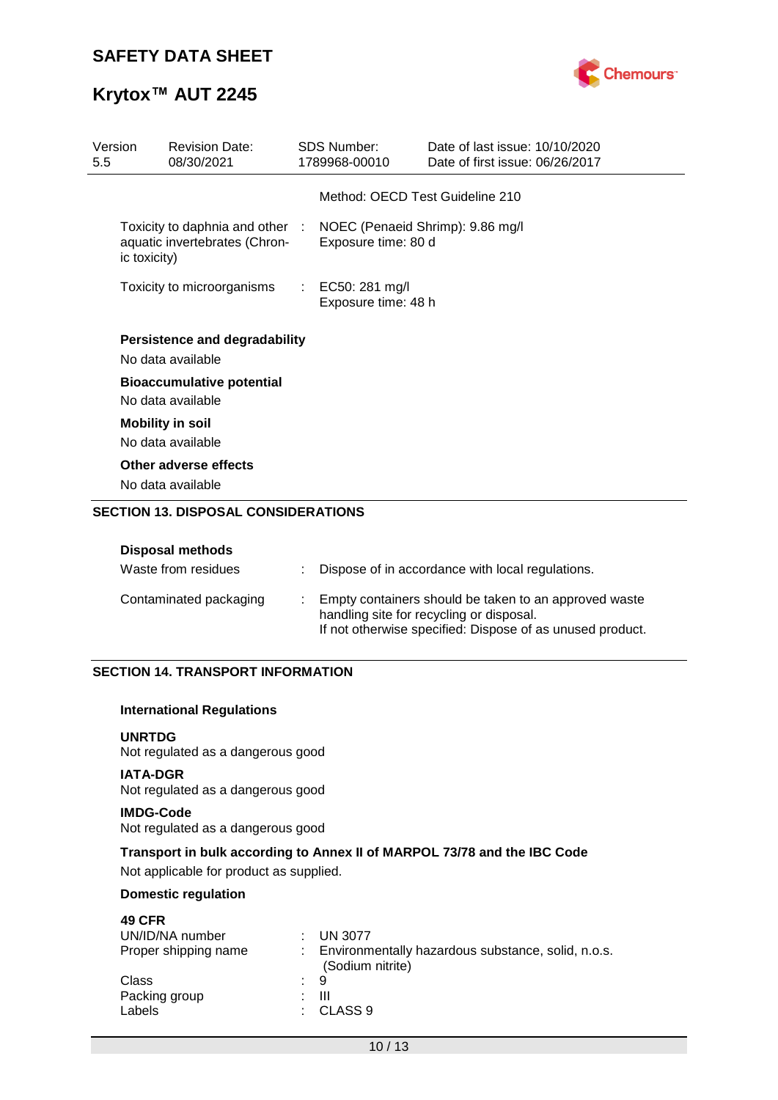

# **Krytox™ AUT 2245**

| Version<br><b>Revision Date:</b><br>08/30/2021<br>5.5 |                                                                                                   | <b>SDS Number:</b><br>1789968-00010 |                                       | Date of last issue: 10/10/2020<br>Date of first issue: 06/26/2017 |  |  |
|-------------------------------------------------------|---------------------------------------------------------------------------------------------------|-------------------------------------|---------------------------------------|-------------------------------------------------------------------|--|--|
|                                                       |                                                                                                   |                                     | Method: OECD Test Guideline 210       |                                                                   |  |  |
| ic toxicity)                                          | Toxicity to daphnia and other : NOEC (Penaeid Shrimp): 9.86 mg/l<br>aquatic invertebrates (Chron- |                                     | Exposure time: 80 d                   |                                                                   |  |  |
|                                                       | Toxicity to microorganisms                                                                        | ÷.                                  | EC50: 281 mg/l<br>Exposure time: 48 h |                                                                   |  |  |
|                                                       | Persistence and degradability<br>No data available                                                |                                     |                                       |                                                                   |  |  |
|                                                       | <b>Bioaccumulative potential</b><br>No data available                                             |                                     |                                       |                                                                   |  |  |
|                                                       | <b>Mobility in soil</b><br>No data available                                                      |                                     |                                       |                                                                   |  |  |
|                                                       | Other adverse effects<br>No data available                                                        |                                     |                                       |                                                                   |  |  |

# **SECTION 13. DISPOSAL CONSIDERATIONS**

### **Disposal methods**

| Waste from residues    | Dispose of in accordance with local regulations.                                                                                                               |
|------------------------|----------------------------------------------------------------------------------------------------------------------------------------------------------------|
| Contaminated packaging | Empty containers should be taken to an approved waste<br>handling site for recycling or disposal.<br>If not otherwise specified: Dispose of as unused product. |

### **SECTION 14. TRANSPORT INFORMATION**

#### **International Regulations**

## **UNRTDG**

Not regulated as a dangerous good

#### **IATA-DGR** Not regulated as a dangerous good

# **IMDG-Code**

Not regulated as a dangerous good

# **Transport in bulk according to Annex II of MARPOL 73/78 and the IBC Code**

Not applicable for product as supplied.

# **Domestic regulation**

| <b>49 CFR</b>        |                                                                        |
|----------------------|------------------------------------------------------------------------|
| UN/ID/NA number      | $:$ UN 3077                                                            |
| Proper shipping name | Environmentally hazardous substance, solid, n.o.s.<br>(Sodium nitrite) |
| Class                | : 9                                                                    |
| Packing group        | Ш<br><b>.</b>                                                          |
| Labels               | $\therefore$ CLASS 9                                                   |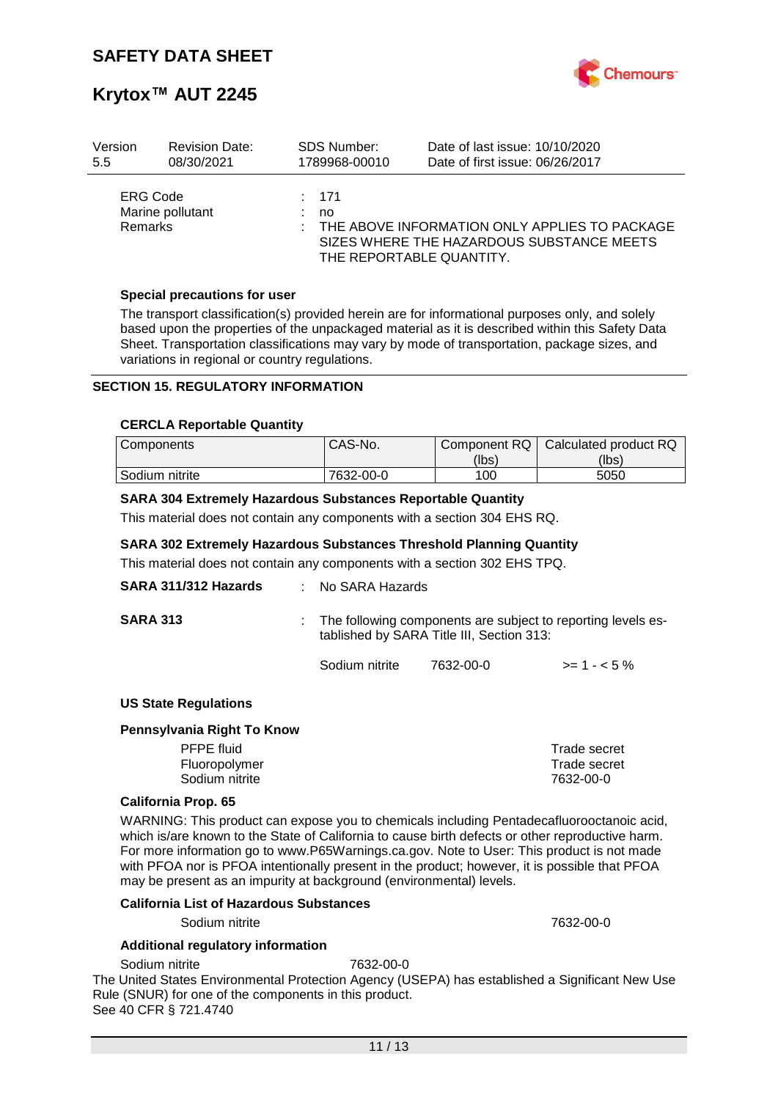

# **Krytox™ AUT 2245**

| Version                           | <b>Revision Date:</b> | <b>SDS Number:</b> | Date of last issue: 10/10/2020                                                                                         |
|-----------------------------------|-----------------------|--------------------|------------------------------------------------------------------------------------------------------------------------|
| 5.5                               | 08/30/2021            | 1789968-00010      | Date of first issue: 06/26/2017                                                                                        |
| <b>ERG Code</b><br><b>Remarks</b> | Marine pollutant      | $\div$ 171<br>no   | THE ABOVE INFORMATION ONLY APPLIES TO PACKAGE<br>SIZES WHERE THE HAZARDOUS SUBSTANCE MEETS<br>THE REPORTABLE QUANTITY. |

#### **Special precautions for user**

The transport classification(s) provided herein are for informational purposes only, and solely based upon the properties of the unpackaged material as it is described within this Safety Data Sheet. Transportation classifications may vary by mode of transportation, package sizes, and variations in regional or country regulations.

## **SECTION 15. REGULATORY INFORMATION**

#### **CERCLA Reportable Quantity**

| <b>Components</b> | CAS-No.   | Component RQ | Calculated product RQ |
|-------------------|-----------|--------------|-----------------------|
|                   |           | (lbs)        | (lbs)                 |
| Sodium nitrite    | 7632-00-0 | 100          | 5050                  |

#### **SARA 304 Extremely Hazardous Substances Reportable Quantity**

This material does not contain any components with a section 304 EHS RQ.

#### **SARA 302 Extremely Hazardous Substances Threshold Planning Quantity**

This material does not contain any components with a section 302 EHS TPQ.

| SARA 311/312 Hazards        | $:$ No SARA Hazards                                                                                       |           |              |  |
|-----------------------------|-----------------------------------------------------------------------------------------------------------|-----------|--------------|--|
| <b>SARA 313</b>             | The following components are subject to reporting levels es-<br>tablished by SARA Title III, Section 313: |           |              |  |
|                             | Sodium nitrite                                                                                            | 7632-00-0 | $>= 1 - 5%$  |  |
| <b>US State Regulations</b> |                                                                                                           |           |              |  |
| Pennsylvania Right To Know  |                                                                                                           |           |              |  |
| <b>PFPE</b> fluid           |                                                                                                           |           | Trade secret |  |
| Fluoropolymer               |                                                                                                           |           | Trade secret |  |

#### **California Prop. 65**

WARNING: This product can expose you to chemicals including Pentadecafluorooctanoic acid, which is/are known to the State of California to cause birth defects or other reproductive harm. For more information go to www.P65Warnings.ca.gov. Note to User: This product is not made with PFOA nor is PFOA intentionally present in the product; however, it is possible that PFOA may be present as an impurity at background (environmental) levels.

Sodium nitrite 7632-00-0

#### **California List of Hazardous Substances**

Sodium nitrite 7632-00-0

#### **Additional regulatory information**

Sodium nitrite 7632-00-0

The United States Environmental Protection Agency (USEPA) has established a Significant New Use Rule (SNUR) for one of the components in this product. See 40 CFR § 721.4740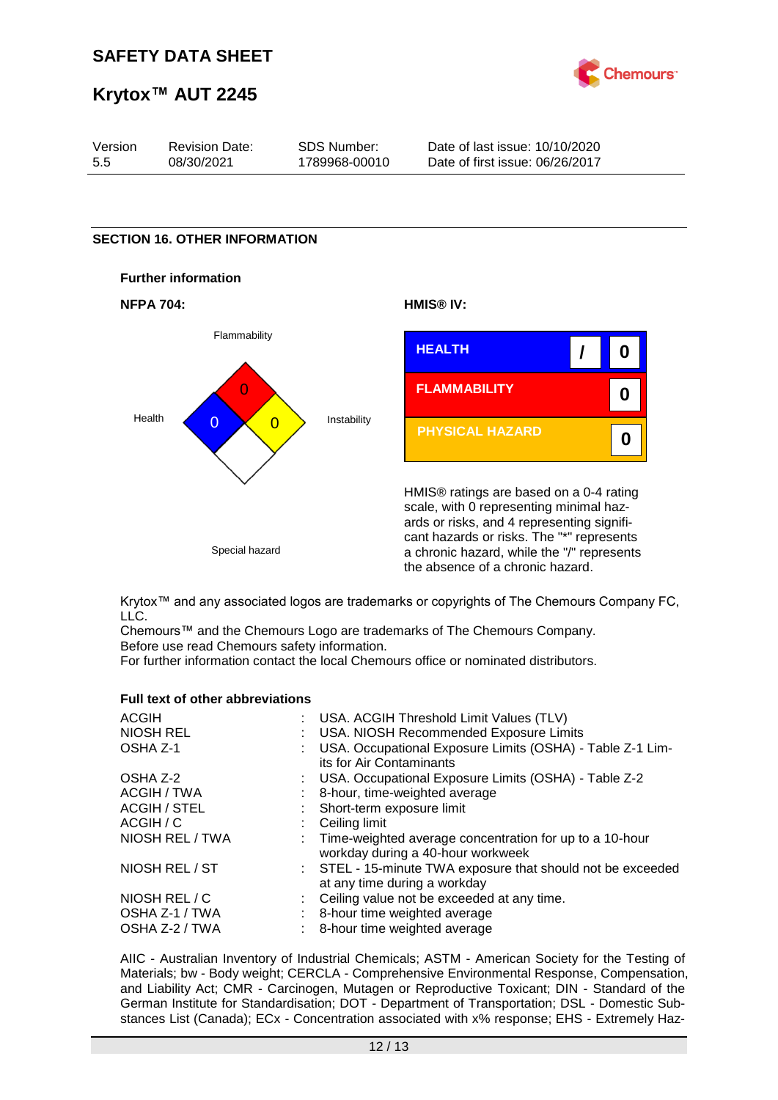

# **Krytox™ AUT 2245**

| Version | <b>Revision Date:</b> | SDS Number:   | Date of last issue: 10/10/2020  |
|---------|-----------------------|---------------|---------------------------------|
| 5.5     | 08/30/2021            | 1789968-00010 | Date of first issue: 06/26/2017 |

### **SECTION 16. OTHER INFORMATION**









HMIS® ratings are based on a 0-4 rating scale, with 0 representing minimal hazards or risks, and 4 representing significant hazards or risks. The "\*" represents a chronic hazard, while the "/" represents the absence of a chronic hazard.

Krytox™ and any associated logos are trademarks or copyrights of The Chemours Company FC, LLC.

Chemours™ and the Chemours Logo are trademarks of The Chemours Company. Before use read Chemours safety information.

For further information contact the local Chemours office or nominated distributors.

#### **Full text of other abbreviations**

| <b>ACGIH</b>     | : USA. ACGIH Threshold Limit Values (TLV)                                                      |
|------------------|------------------------------------------------------------------------------------------------|
| <b>NIOSH REL</b> | : USA. NIOSH Recommended Exposure Limits                                                       |
| OSHA Z-1         | USA. Occupational Exposure Limits (OSHA) - Table Z-1 Lim-<br>its for Air Contaminants          |
| OSHA Z-2         | : USA. Occupational Exposure Limits (OSHA) - Table Z-2                                         |
| ACGIH / TWA      | : 8-hour, time-weighted average                                                                |
| ACGIH / STEL     | : Short-term exposure limit                                                                    |
| ACGIH / C        | $\therefore$ Ceiling limit                                                                     |
| NIOSH REL / TWA  | : Time-weighted average concentration for up to a 10-hour<br>workday during a 40-hour workweek |
| NIOSH REL / ST   | : STEL - 15-minute TWA exposure that should not be exceeded<br>at any time during a workday    |
| NIOSH REL / C    | : Ceiling value not be exceeded at any time.                                                   |
| OSHA Z-1 / TWA   | : 8-hour time weighted average                                                                 |
| OSHA Z-2 / TWA   | 8-hour time weighted average                                                                   |
|                  |                                                                                                |

AIIC - Australian Inventory of Industrial Chemicals; ASTM - American Society for the Testing of Materials; bw - Body weight; CERCLA - Comprehensive Environmental Response, Compensation, and Liability Act; CMR - Carcinogen, Mutagen or Reproductive Toxicant; DIN - Standard of the German Institute for Standardisation; DOT - Department of Transportation; DSL - Domestic Substances List (Canada); ECx - Concentration associated with x% response; EHS - Extremely Haz-